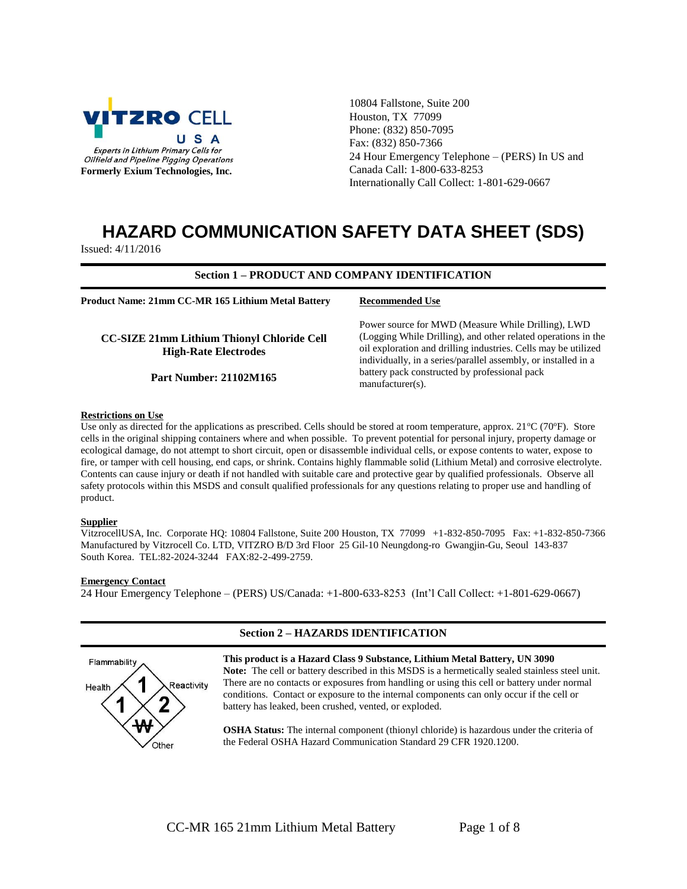

10804 Fallstone, Suite 200 Houston, TX 77099 Phone: (832) 850-7095 Fax: (832) 850-7366 24 Hour Emergency Telephone – (PERS) In US and Canada Call: 1-800-633-8253 Internationally Call Collect: 1-801-629-0667

# **HAZARD COMMUNICATION SAFETY DATA SHEET (SDS)**

Issued: 4/11/2016

## **Section 1 – PRODUCT AND COMPANY IDENTIFICATION**

**Recommended Use**

**Product Name: 21mm CC-MR 165 Lithium Metal Battery**

# **CC-SIZE 21mm Lithium Thionyl Chloride Cell High-Rate Electrodes**

**Part Number: 21102M165** 

Power source for MWD (Measure While Drilling), LWD (Logging While Drilling), and other related operations in the oil exploration and drilling industries. Cells may be utilized individually, in a series/parallel assembly, or installed in a battery pack constructed by professional pack manufacturer(s).

## **Restrictions on Use**

Use only as directed for the applications as prescribed. Cells should be stored at room temperature, approx.  $21^{\circ}C(70^{\circ}F)$ . Store cells in the original shipping containers where and when possible. To prevent potential for personal injury, property damage or ecological damage, do not attempt to short circuit, open or disassemble individual cells, or expose contents to water, expose to fire, or tamper with cell housing, end caps, or shrink. Contains highly flammable solid (Lithium Metal) and corrosive electrolyte. Contents can cause injury or death if not handled with suitable care and protective gear by qualified professionals. Observe all safety protocols within this MSDS and consult qualified professionals for any questions relating to proper use and handling of product.

# **Supplier**

VitzrocellUSA, Inc. Corporate HQ: 10804 Fallstone, Suite 200 Houston, TX 77099 +1-832-850-7095 Fax: +1-832-850-7366 Manufactured by Vitzrocell Co. LTD, VITZRO B/D 3rd Floor 25 Gil-10 Neungdong-ro Gwangjin-Gu, Seoul 143-837 South Korea. TEL:82-2024-3244 FAX:82-2-499-2759.

#### **Emergency Contact**

24 Hour Emergency Telephone – (PERS) US/Canada: +1-800-633-8253 (Int'l Call Collect: +1-801-629-0667)



# **Section 2 – HAZARDS IDENTIFICATION**

**This product is a Hazard Class 9 Substance, Lithium Metal Battery, UN 3090 Note:** The cell or battery described in this MSDS is a hermetically sealed stainless steel unit. There are no contacts or exposures from handling or using this cell or battery under normal conditions. Contact or exposure to the internal components can only occur if the cell or battery has leaked, been crushed, vented, or exploded.

**OSHA Status:** The internal component (thionyl chloride) is hazardous under the criteria of the Federal OSHA Hazard Communication Standard 29 CFR 1920.1200.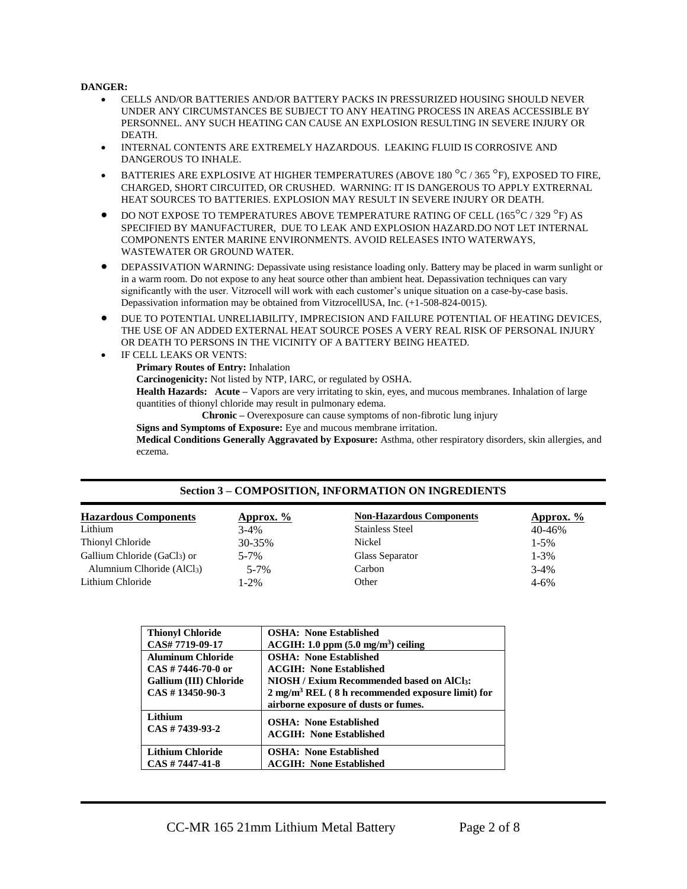# **DANGER:**

- CELLS AND/OR BATTERIES AND/OR BATTERY PACKS IN PRESSURIZED HOUSING SHOULD NEVER UNDER ANY CIRCUMSTANCES BE SUBJECT TO ANY HEATING PROCESS IN AREAS ACCESSIBLE BY PERSONNEL. ANY SUCH HEATING CAN CAUSE AN EXPLOSION RESULTING IN SEVERE INJURY OR DEATH.
- INTERNAL CONTENTS ARE EXTREMELY HAZARDOUS. LEAKING FLUID IS CORROSIVE AND DANGEROUS TO INHALE.
- BATTERIES ARE EXPLOSIVE AT HIGHER TEMPERATURES (ABOVE 180 °C / 365 °F), EXPOSED TO FIRE, CHARGED, SHORT CIRCUITED, OR CRUSHED. WARNING: IT IS DANGEROUS TO APPLY EXTRERNAL HEAT SOURCES TO BATTERIES. EXPLOSION MAY RESULT IN SEVERE INJURY OR DEATH.
- $\bullet$  DO NOT EXPOSE TO TEMPERATURES ABOVE TEMPERATURE RATING OF CELL (165<sup>o</sup>C / 329<sup>o</sup>F) AS SPECIFIED BY MANUFACTURER, DUE TO LEAK AND EXPLOSION HAZARD.DO NOT LET INTERNAL COMPONENTS ENTER MARINE ENVIRONMENTS. AVOID RELEASES INTO WATERWAYS, WASTEWATER OR GROUND WATER.
- DEPASSIVATION WARNING: Depassivate using resistance loading only. Battery may be placed in warm sunlight or in a warm room. Do not expose to any heat source other than ambient heat. Depassivation techniques can vary significantly with the user. Vitzrocell will work with each customer's unique situation on a case-by-case basis. Depassivation information may be obtained from VitzrocellUSA, Inc. (+1-508-824-0015).
- DUE TO POTENTIAL UNRELIABILITY, IMPRECISION AND FAILURE POTENTIAL OF HEATING DEVICES, THE USE OF AN ADDED EXTERNAL HEAT SOURCE POSES A VERY REAL RISK OF PERSONAL INJURY OR DEATH TO PERSONS IN THE VICINITY OF A BATTERY BEING HEATED.
- IF CELL LEAKS OR VENTS: **Primary Routes of Entry:** Inhalation **Carcinogenicity:** Not listed by NTP, IARC, or regulated by OSHA. **Health Hazards: Acute –** Vapors are very irritating to skin, eyes, and mucous membranes. Inhalation of large quantities of thionyl chloride may result in pulmonary edema. **Chronic –** Overexposure can cause symptoms of non-fibrotic lung injury

**Signs and Symptoms of Exposure:** Eye and mucous membrane irritation. **Medical Conditions Generally Aggravated by Exposure:** Asthma, other respiratory disorders, skin allergies, and eczema.

| <b>Hazardous Components</b> | <u>Approx. <math>\%</math></u> | <b>Non-Hazardous Components</b> | Approx. $\frac{6}{6}$ |
|-----------------------------|--------------------------------|---------------------------------|-----------------------|
| Lithium                     | $3-4%$                         | <b>Stainless Steel</b>          | 40-46%                |
| Thionyl Chloride            | 30-35%                         | Nickel                          | $1 - 5\%$             |
| Gallium Chloride (GaCl3) or | $5 - 7%$                       | Glass Separator                 | $1 - 3\%$             |
| Alumnium Clhoride $(AlCl3)$ | $5 - 7%$                       | Carbon                          | $3 - 4\%$             |
| Lithium Chloride            | $1-2\%$                        | Other                           | $4 - 6\%$             |

# **Section 3 – COMPOSITION, INFORMATION ON INGREDIENTS**

| <b>OSHA: None Established</b>                               |
|-------------------------------------------------------------|
| $ACGIH: 1.0$ ppm $(5.0$ mg/m <sup>3</sup> ) ceiling         |
| <b>OSHA: None Established</b>                               |
| <b>ACGIH: None Established</b>                              |
| NIOSH / Exium Recommended based on AlCl <sub>3</sub> :      |
| $2 \text{ mg/m}^3$ REL (8 h recommended exposure limit) for |
| airborne exposure of dusts or fumes.                        |
| <b>OSHA: None Established</b>                               |
|                                                             |
| <b>ACGIH: None Established</b>                              |
| <b>OSHA: None Established</b>                               |
| <b>ACGIH: None Established</b>                              |
|                                                             |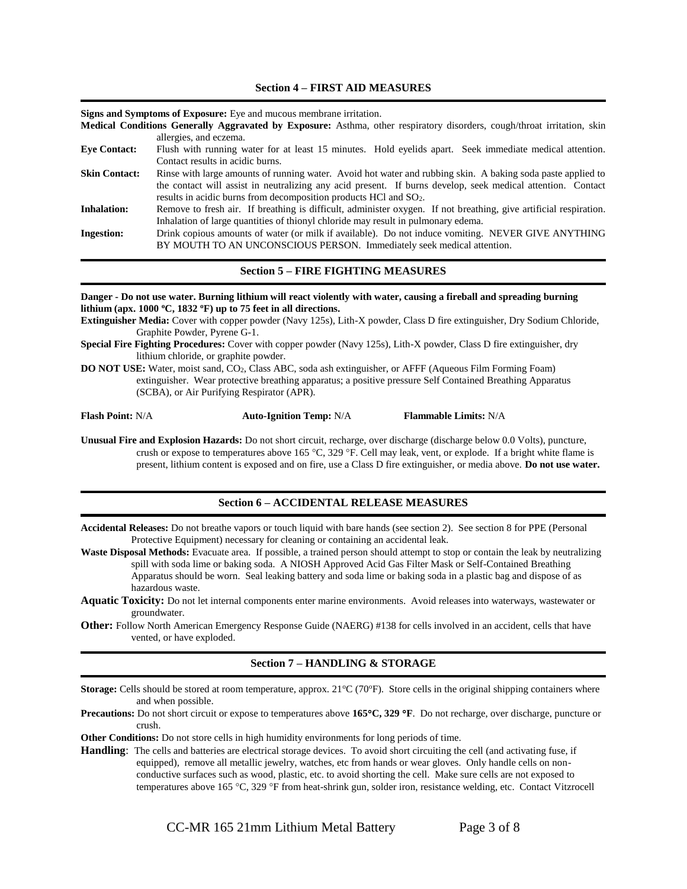## **Section 4 – FIRST AID MEASURES**

**Signs and Symptoms of Exposure:** Eye and mucous membrane irritation.

**Medical Conditions Generally Aggravated by Exposure:** Asthma, other respiratory disorders, cough/throat irritation, skin allergies, and eczema.

| <b>Eve Contact:</b>  | Flush with running water for at least 15 minutes. Hold evelids apart. Seek immediate medical attention.           |
|----------------------|-------------------------------------------------------------------------------------------------------------------|
|                      | Contact results in acidic burns.                                                                                  |
| <b>Skin Contact:</b> | Rinse with large amounts of running water. Avoid hot water and rubbing skin. A baking soda paste applied to       |
|                      | the contact will assist in neutralizing any acid present. If burns develop, seek medical attention. Contact       |
|                      | results in acidic burns from decomposition products HCl and SO <sub>2</sub> .                                     |
| <b>Inhalation:</b>   | Remove to fresh air. If breathing is difficult, administer oxygen. If not breathing, give artificial respiration. |
|                      | Inhalation of large quantities of thionyl chloride may result in pulmonary edema.                                 |
| <b>Ingestion:</b>    | Drink copious amounts of water (or milk if available). Do not induce vomiting. NEVER GIVE ANYTHING                |
|                      | BY MOUTH TO AN UNCONSCIOUS PERSON. Immediately seek medical attention.                                            |

## **Section 5 – FIRE FIGHTING MEASURES**

| lithium (apx. 1000 $\rm{^{\circ}C}$ , 1832 $\rm{^{\circ}F}$ ) up to 75 feet in all directions. |                                | Danger - Do not use water. Burning lithium will react violently with water, causing a fireball and spreading burning                                                                                                                |
|------------------------------------------------------------------------------------------------|--------------------------------|-------------------------------------------------------------------------------------------------------------------------------------------------------------------------------------------------------------------------------------|
|                                                                                                |                                | Extinguisher Media: Cover with copper powder (Navy 125s), Lith-X powder, Class D fire extinguisher, Dry Sodium Chloride,                                                                                                            |
| Graphite Powder, Pyrene G-1.                                                                   |                                |                                                                                                                                                                                                                                     |
|                                                                                                |                                | <b>Special Fire Fighting Procedures:</b> Cover with copper powder (Navy 125s), Lith-X powder, Class D fire extinguisher, dry                                                                                                        |
| lithium chloride, or graphite powder.                                                          |                                |                                                                                                                                                                                                                                     |
| (SCBA), or Air Purifying Respirator (APR).                                                     |                                | DO NOT USE: Water, moist sand, CO <sub>2</sub> , Class ABC, soda ash extinguisher, or AFFF (Aqueous Film Forming Foam)<br>extinguisher. Wear protective breathing apparatus; a positive pressure Self Contained Breathing Apparatus |
| <b>Flash Point:</b> N/A                                                                        | <b>Auto-Ignition Temp:</b> N/A | <b>Flammable Limits: N/A</b>                                                                                                                                                                                                        |

**Unusual Fire and Explosion Hazards:** Do not short circuit, recharge, over discharge (discharge below 0.0 Volts), puncture, crush or expose to temperatures above 165 °C, 329 °F. Cell may leak, vent, or explode. If a bright white flame is present, lithium content is exposed and on fire, use a Class D fire extinguisher, or media above. **Do not use water.**

# **Section 6 – ACCIDENTAL RELEASE MEASURES**

**Accidental Releases:** Do not breathe vapors or touch liquid with bare hands (see section 2). See section 8 for PPE (Personal Protective Equipment) necessary for cleaning or containing an accidental leak.

Waste Disposal Methods: Evacuate area. If possible, a trained person should attempt to stop or contain the leak by neutralizing spill with soda lime or baking soda. A NIOSH Approved Acid Gas Filter Mask or Self-Contained Breathing Apparatus should be worn. Seal leaking battery and soda lime or baking soda in a plastic bag and dispose of as hazardous waste.

**Aquatic Toxicity:** Do not let internal components enter marine environments. Avoid releases into waterways, wastewater or groundwater.

**Other:** Follow North American Emergency Response Guide (NAERG) #138 for cells involved in an accident, cells that have vented, or have exploded.

## **Section 7 – HANDLING & STORAGE**

**Storage:** Cells should be stored at room temperature, approx. 21°C (70°F). Store cells in the original shipping containers where and when possible.

**Precautions:** Do not short circuit or expose to temperatures above **165C, 329 F**. Do not recharge, over discharge, puncture or crush.

**Other Conditions:** Do not store cells in high humidity environments for long periods of time.

**Handling**: The cells and batteries are electrical storage devices. To avoid short circuiting the cell (and activating fuse, if equipped), remove all metallic jewelry, watches, etc from hands or wear gloves. Only handle cells on nonconductive surfaces such as wood, plastic, etc. to avoid shorting the cell. Make sure cells are not exposed to temperatures above 165 °C, 329 °F from heat-shrink gun, solder iron, resistance welding, etc. Contact Vitzrocell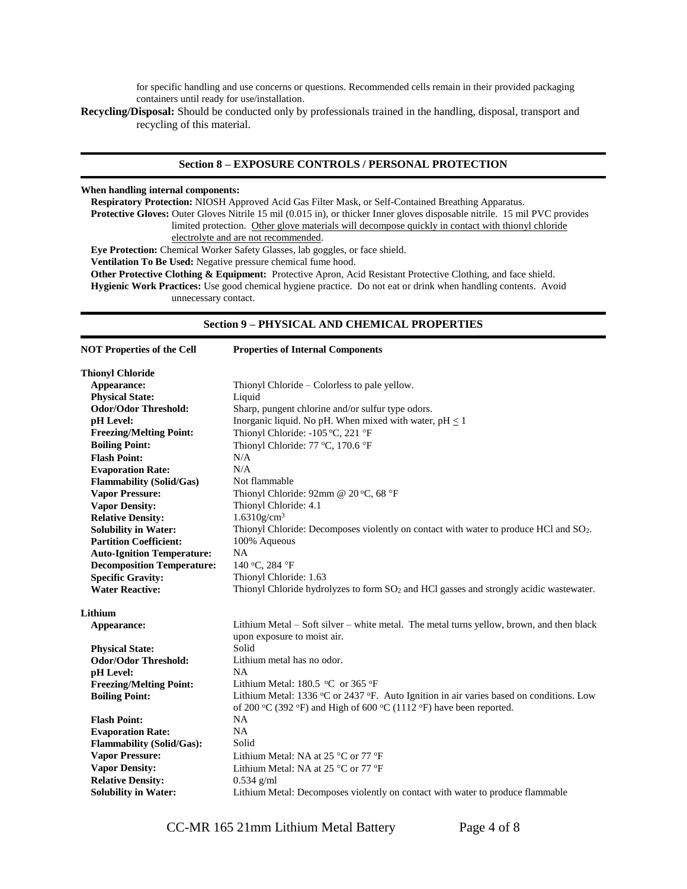for specific handling and use concerns or questions. Recommended cells remain in their provided packaging containers until ready for use/installation.

**Recycling/Disposal:** Should be conducted only by professionals trained in the handling, disposal, transport and recycling of this material.

# **Section 8 – EXPOSURE CONTROLS / PERSONAL PROTECTION**

#### **When handling internal components:**

**Respiratory Protection:** NIOSH Approved Acid Gas Filter Mask, or Self-Contained Breathing Apparatus. Protective Gloves: Outer Gloves Nitrile 15 mil (0.015 in), or thicker Inner gloves disposable nitrile. 15 mil PVC provides limited protection. Other glove materials will decompose quickly in contact with thionyl chloride electrolyte and are not recommended. **Eye Protection:** Chemical Worker Safety Glasses, lab goggles, or face shield.

**Ventilation To Be Used:** Negative pressure chemical fume hood.

**Other Protective Clothing & Equipment:** Protective Apron, Acid Resistant Protective Clothing, and face shield. **Hygienic Work Practices:** Use good chemical hygiene practice. Do not eat or drink when handling contents. Avoid unnecessary contact.

# **Section 9 – PHYSICAL AND CHEMICAL PROPERTIES**

| <b>NOT Properties of the Cell</b> | <b>Properties of Internal Components</b>                                                           |  |
|-----------------------------------|----------------------------------------------------------------------------------------------------|--|
| <b>Thionyl Chloride</b>           |                                                                                                    |  |
| Appearance:                       | Thionyl Chloride – Colorless to pale yellow.                                                       |  |
| <b>Physical State:</b>            | Liquid                                                                                             |  |
| <b>Odor/Odor Threshold:</b>       | Sharp, pungent chlorine and/or sulfur type odors.                                                  |  |
| pH Level:                         | Inorganic liquid. No pH. When mixed with water, pH $\leq$ 1                                        |  |
| <b>Freezing/Melting Point:</b>    | Thionyl Chloride: -105 °C, 221 °F                                                                  |  |
| <b>Boiling Point:</b>             | Thionyl Chloride: 77 °C, 170.6 °F                                                                  |  |
| <b>Flash Point:</b>               | N/A                                                                                                |  |
| <b>Evaporation Rate:</b>          | N/A                                                                                                |  |
| <b>Flammability (Solid/Gas)</b>   | Not flammable                                                                                      |  |
| <b>Vapor Pressure:</b>            | Thionyl Chloride: 92mm @ 20 °C, 68 °F                                                              |  |
| <b>Vapor Density:</b>             | Thionyl Chloride: 4.1                                                                              |  |
| <b>Relative Density:</b>          | $1.6310$ g/cm <sup>3</sup>                                                                         |  |
| <b>Solubility in Water:</b>       | Thionyl Chloride: Decomposes violently on contact with water to produce HCl and SO <sub>2</sub> .  |  |
| <b>Partition Coefficient:</b>     | 100% Aqueous                                                                                       |  |
| <b>Auto-Ignition Temperature:</b> | <b>NA</b>                                                                                          |  |
| <b>Decomposition Temperature:</b> | 140 °C, 284 °F                                                                                     |  |
| <b>Specific Gravity:</b>          | Thionyl Chloride: 1.63                                                                             |  |
| <b>Water Reactive:</b>            | Thionyl Chloride hydrolyzes to form SO <sub>2</sub> and HCl gasses and strongly acidic wastewater. |  |
| Lithium                           |                                                                                                    |  |
| Appearance:                       | Lithium Metal – Soft silver – white metal. The metal turns yellow, brown, and then black           |  |
|                                   | upon exposure to moist air.                                                                        |  |
| <b>Physical State:</b>            | Solid                                                                                              |  |
| <b>Odor/Odor Threshold:</b>       | Lithium metal has no odor.                                                                         |  |
| pH Level:                         | NA.                                                                                                |  |
| <b>Freezing/Melting Point:</b>    | Lithium Metal: $180.5$ °C or 365 °F                                                                |  |
| <b>Boiling Point:</b>             | Lithium Metal: 1336 °C or 2437 °F. Auto Ignition in air varies based on conditions. Low            |  |
|                                   | of 200 °C (392 °F) and High of 600 °C (1112 °F) have been reported.                                |  |
| <b>Flash Point:</b>               | NA                                                                                                 |  |
| <b>Evaporation Rate:</b>          | <b>NA</b>                                                                                          |  |
| <b>Flammability (Solid/Gas):</b>  | Solid                                                                                              |  |
| <b>Vapor Pressure:</b>            | Lithium Metal: NA at 25 $^{\circ}$ C or 77 $^{\circ}$ F                                            |  |
| <b>Vapor Density:</b>             | Lithium Metal: NA at 25 $^{\circ}$ C or 77 $^{\circ}$ F                                            |  |
| <b>Relative Density:</b>          | $0.534$ g/ml                                                                                       |  |
| <b>Solubility in Water:</b>       | Lithium Metal: Decomposes violently on contact with water to produce flammable                     |  |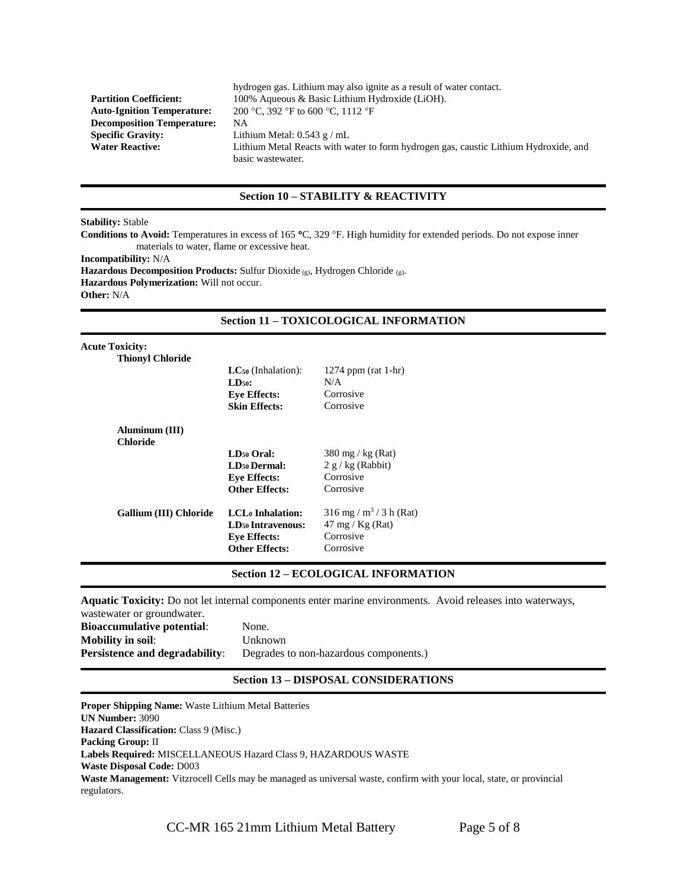|                                   | hydrogen gas. Lithium may also ignite as a result of water contact.                  |
|-----------------------------------|--------------------------------------------------------------------------------------|
| <b>Partition Coefficient:</b>     | 100% Aqueous & Basic Lithium Hydroxide (LiOH).                                       |
| <b>Auto-Ignition Temperature:</b> | 200 °C, 392 °F to 600 °C, 1112 °F                                                    |
| <b>Decomposition Temperature:</b> | NА                                                                                   |
| <b>Specific Gravity:</b>          | Lithium Metal: $0.543$ g / mL                                                        |
| <b>Water Reactive:</b>            | Lithium Metal Reacts with water to form hydrogen gas, caustic Lithium Hydroxide, and |
|                                   | basic wastewater.                                                                    |

# **Section 10 – STABILITY & REACTIVITY**

#### **Stability:** Stable

Conditions to Avoid: Temperatures in excess of 165 °C, 329 °F. High humidity for extended periods. Do not expose inner materials to water, flame or excessive heat.

**Incompatibility:** N/A

**Hazardous Decomposition Products:** Sulfur Dioxide (g), Hydrogen Chloride (g). **Hazardous Polymerization:** Will not occur.

**Other:** N/A

# **Section 11 – TOXICOLOGICAL INFORMATION**

| <b>Acute Toxicity:</b>        |                                     |                                       |
|-------------------------------|-------------------------------------|---------------------------------------|
| <b>Thionyl Chloride</b>       |                                     |                                       |
|                               | $LC_{50}$ (Inhalation):             | 1274 ppm (rat 1-hr)                   |
|                               | $LD50$ :                            | N/A                                   |
|                               | <b>Eye Effects:</b>                 | Corrosive                             |
|                               | <b>Skin Effects:</b>                | Corrosive                             |
| Aluminum (III)                |                                     |                                       |
| Chloride                      |                                     |                                       |
|                               | LD <sub>50</sub> Oral:              | $380 \text{ mg}$ / kg (Rat)           |
|                               | <b>LD<sub>50</sub></b> Dermal:      | $2 g/kg$ (Rabbit)                     |
|                               | <b>Eye Effects:</b>                 | Corrosive                             |
|                               | Other Effects:                      | Corrosive                             |
| <b>Gallium (III) Chloride</b> | LCL <sub>0</sub> Inhalation:        | $316$ mg / m <sup>3</sup> / 3 h (Rat) |
|                               | <b>LD<sub>50</sub></b> Intravenous: | $47 \text{ mg} / \text{Kg}$ (Rat)     |
|                               | <b>Eye Effects:</b>                 | Corrosive                             |
|                               | Other Effects:                      | Corrosive                             |
|                               |                                     |                                       |

# **Section 12 – ECOLOGICAL INFORMATION**

**Aquatic Toxicity:** Do not let internal components enter marine environments. Avoid releases into waterways, wastewater or groundwater.

| $m$ able $m$ alen on $\mathbb{R}$ roand $m$ alen. |                                        |
|---------------------------------------------------|----------------------------------------|
| <b>Bioaccumulative potential:</b>                 | None.                                  |
| <b>Mobility in soil:</b>                          | Unknown                                |
| <b>Persistence and degradability:</b>             | Degrades to non-hazardous components.) |
|                                                   |                                        |

# **Section 13 – DISPOSAL CONSIDERATIONS**

**Proper Shipping Name:** Waste Lithium Metal Batteries **UN Number:** 3090 **Hazard Classification:** Class 9 (Misc.) **Packing Group:** II **Labels Required:** MISCELLANEOUS Hazard Class 9, HAZARDOUS WASTE **Waste Disposal Code:** D003 **Waste Management:** Vitzrocell Cells may be managed as universal waste, confirm with your local, state, or provincial regulators.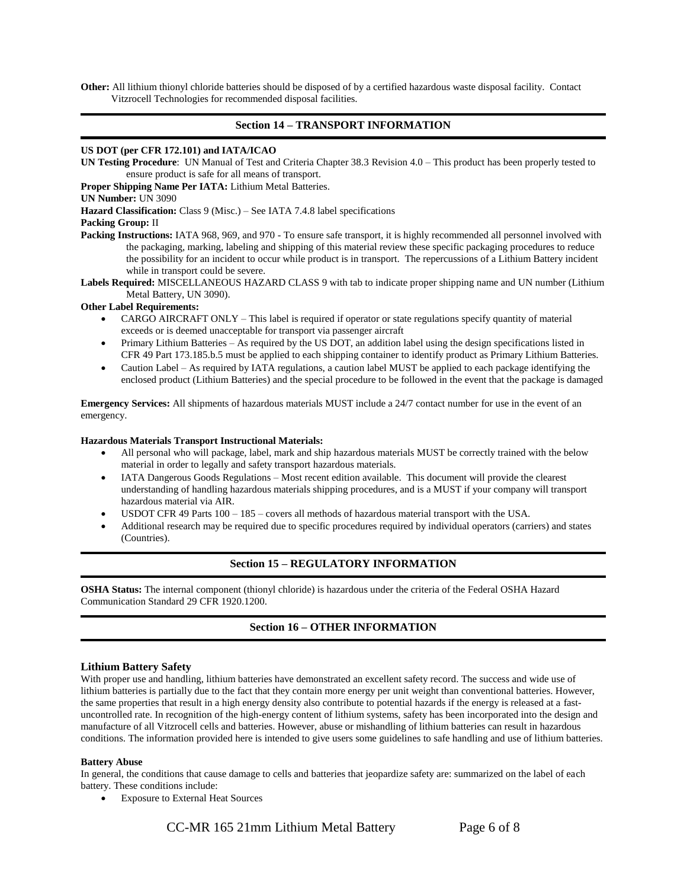**Other:** All lithium thionyl chloride batteries should be disposed of by a certified hazardous waste disposal facility. Contact Vitzrocell Technologies for recommended disposal facilities.

# **Section 14 – TRANSPORT INFORMATION**

## **US DOT (per CFR 172.101) and IATA/ICAO**

**UN Testing Procedure**: UN Manual of Test and Criteria Chapter 38.3 Revision 4.0 – This product has been properly tested to ensure product is safe for all means of transport.

**Proper Shipping Name Per IATA:** Lithium Metal Batteries.

**UN Number:** UN 3090

**Hazard Classification:** Class 9 (Misc.) – See IATA 7.4.8 label specifications

### **Packing Group:** II

Packing Instructions: IATA 968, 969, and 970 - To ensure safe transport, it is highly recommended all personnel involved with the packaging, marking, labeling and shipping of this material review these specific packaging procedures to reduce the possibility for an incident to occur while product is in transport. The repercussions of a Lithium Battery incident while in transport could be severe.

**Labels Required:** MISCELLANEOUS HAZARD CLASS 9 with tab to indicate proper shipping name and UN number (Lithium Metal Battery, UN 3090).

## **Other Label Requirements:**

- CARGO AIRCRAFT ONLY This label is required if operator or state regulations specify quantity of material exceeds or is deemed unacceptable for transport via passenger aircraft
- Primary Lithium Batteries As required by the US DOT, an addition label using the design specifications listed in CFR 49 Part 173.185.b.5 must be applied to each shipping container to identify product as Primary Lithium Batteries.
- Caution Label As required by IATA regulations, a caution label MUST be applied to each package identifying the enclosed product (Lithium Batteries) and the special procedure to be followed in the event that the package is damaged

**Emergency Services:** All shipments of hazardous materials MUST include a 24/7 contact number for use in the event of an emergency.

## **Hazardous Materials Transport Instructional Materials:**

- All personal who will package, label, mark and ship hazardous materials MUST be correctly trained with the below material in order to legally and safety transport hazardous materials.
- IATA Dangerous Goods Regulations Most recent edition available. This document will provide the clearest understanding of handling hazardous materials shipping procedures, and is a MUST if your company will transport hazardous material via AIR.
- USDOT CFR 49 Parts 100 185 covers all methods of hazardous material transport with the USA.
- Additional research may be required due to specific procedures required by individual operators (carriers) and states (Countries).

## **Section 15 – REGULATORY INFORMATION**

**OSHA Status:** The internal component (thionyl chloride) is hazardous under the criteria of the Federal OSHA Hazard Communication Standard 29 CFR 1920.1200.

# **Section 16 – OTHER INFORMATION**

#### **Lithium Battery Safety**

With proper use and handling, lithium batteries have demonstrated an excellent safety record. The success and wide use of lithium batteries is partially due to the fact that they contain more energy per unit weight than conventional batteries. However, the same properties that result in a high energy density also contribute to potential hazards if the energy is released at a fastuncontrolled rate. In recognition of the high-energy content of lithium systems, safety has been incorporated into the design and manufacture of all Vitzrocell cells and batteries. However, abuse or mishandling of lithium batteries can result in hazardous conditions. The information provided here is intended to give users some guidelines to safe handling and use of lithium batteries.

#### **Battery Abuse**

In general, the conditions that cause damage to cells and batteries that jeopardize safety are: summarized on the label of each battery. These conditions include:

Exposure to External Heat Sources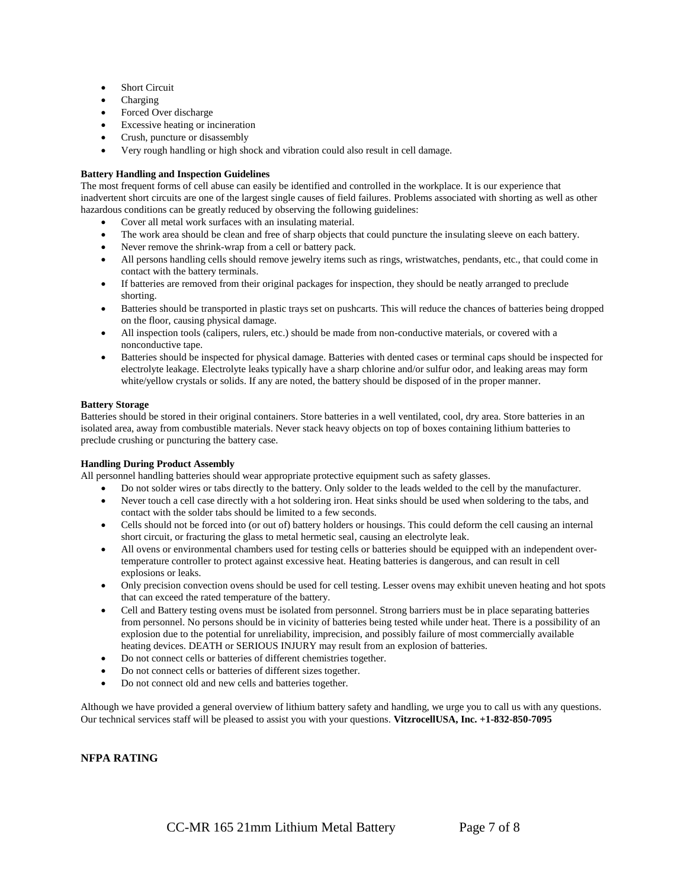- Short Circuit
- Charging
- Forced Over discharge
- Excessive heating or incineration
- Crush, puncture or disassembly
- Very rough handling or high shock and vibration could also result in cell damage.

## **Battery Handling and Inspection Guidelines**

The most frequent forms of cell abuse can easily be identified and controlled in the workplace. It is our experience that inadvertent short circuits are one of the largest single causes of field failures. Problems associated with shorting as well as other hazardous conditions can be greatly reduced by observing the following guidelines:

- Cover all metal work surfaces with an insulating material.
- The work area should be clean and free of sharp objects that could puncture the insulating sleeve on each battery.
- Never remove the shrink-wrap from a cell or battery pack.
- All persons handling cells should remove jewelry items such as rings, wristwatches, pendants, etc., that could come in contact with the battery terminals.
- If batteries are removed from their original packages for inspection, they should be neatly arranged to preclude shorting.
- Batteries should be transported in plastic trays set on pushcarts. This will reduce the chances of batteries being dropped on the floor, causing physical damage.
- All inspection tools (calipers, rulers, etc.) should be made from non-conductive materials, or covered with a nonconductive tape.
- Batteries should be inspected for physical damage. Batteries with dented cases or terminal caps should be inspected for electrolyte leakage. Electrolyte leaks typically have a sharp chlorine and/or sulfur odor, and leaking areas may form white/yellow crystals or solids. If any are noted, the battery should be disposed of in the proper manner.

## **Battery Storage**

Batteries should be stored in their original containers. Store batteries in a well ventilated, cool, dry area. Store batteries in an isolated area, away from combustible materials. Never stack heavy objects on top of boxes containing lithium batteries to preclude crushing or puncturing the battery case.

## **Handling During Product Assembly**

All personnel handling batteries should wear appropriate protective equipment such as safety glasses.

- Do not solder wires or tabs directly to the battery. Only solder to the leads welded to the cell by the manufacturer.
- Never touch a cell case directly with a hot soldering iron. Heat sinks should be used when soldering to the tabs, and contact with the solder tabs should be limited to a few seconds.
- Cells should not be forced into (or out of) battery holders or housings. This could deform the cell causing an internal short circuit, or fracturing the glass to metal hermetic seal, causing an electrolyte leak.
- All ovens or environmental chambers used for testing cells or batteries should be equipped with an independent overtemperature controller to protect against excessive heat. Heating batteries is dangerous, and can result in cell explosions or leaks.
- Only precision convection ovens should be used for cell testing. Lesser ovens may exhibit uneven heating and hot spots that can exceed the rated temperature of the battery.
- Cell and Battery testing ovens must be isolated from personnel. Strong barriers must be in place separating batteries from personnel. No persons should be in vicinity of batteries being tested while under heat. There is a possibility of an explosion due to the potential for unreliability, imprecision, and possibly failure of most commercially available heating devices. DEATH or SERIOUS INJURY may result from an explosion of batteries.
- Do not connect cells or batteries of different chemistries together.
- Do not connect cells or batteries of different sizes together.
- Do not connect old and new cells and batteries together.

Although we have provided a general overview of lithium battery safety and handling, we urge you to call us with any questions. Our technical services staff will be pleased to assist you with your questions. **VitzrocellUSA, Inc. +1-832-850-7095**

# **NFPA RATING**